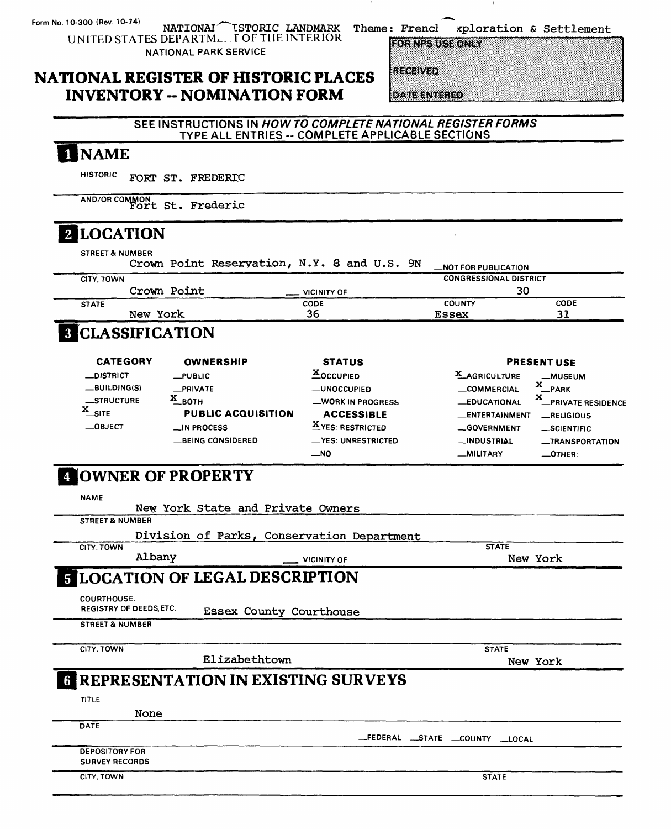10-300 (Rev. 10-74) NATIONAL TSTORIC LANDMARK<br>UNITED STATES DEPARTML. FOF THE INTERIOR

NATIONAL PARK SERVICE

Theme: Frencl xploration & Settlement

**FOR NPS USE ONLY** 

### **NATIONAL REGISTER OF HISTORIC PLACES INVENTORY -- NOMINATION FORM**

**REGEVED** 

**DATE ENTERED** 

#### SEE INSTRUCTIONS IN HOW TO COMPLETE NATIONAL REGISTER FORMS TYPE ALL ENTRIES -- COMPLETE APPLICABLE SECTIONS

## 1 NAME

HISTORIC FORT ST. FREDERIC

AND/OR COMMON Fort St. Frederic

## 2 LOCATION

| <b>STREET &amp; NUMBER</b>                    |          |                   |                                       |                                             |                                     |                               |  |  |
|-----------------------------------------------|----------|-------------------|---------------------------------------|---------------------------------------------|-------------------------------------|-------------------------------|--|--|
|                                               |          |                   |                                       | Crown Point Reservation, N.Y. 8 and U.S. 9N | <b>NOT FOR PUBLICATION</b>          |                               |  |  |
| CITY, TOWN                                    |          |                   |                                       |                                             | <b>CONGRESSIONAL DISTRICT</b><br>30 |                               |  |  |
| <b>STATE</b>                                  |          | Crown Point       |                                       | <b>VICINITY OF</b><br>CODE                  | COUNTY                              | CODE                          |  |  |
|                                               | New York |                   |                                       | 36                                          | <b>Essex</b>                        | 31                            |  |  |
| <b>8 CLASSIFICATION</b>                       |          |                   |                                       |                                             |                                     |                               |  |  |
| <b>CATEGORY</b>                               |          |                   | <b>OWNERSHIP</b>                      | <b>STATUS</b>                               |                                     | <b>PRESENT USF</b>            |  |  |
| <b>_DISTRICT</b>                              |          | $L$ PUBLIC        |                                       | <b>XOCCUPIED</b>                            | <b>X_AGRICULTURE</b>                | <b>_MUSEUM</b>                |  |  |
| __BUILDING(S)                                 |          | _PRIVATE          |                                       | <b>__UNOCCUPIED</b>                         | <b>COMMERCIAL</b>                   | x<br>PARK                     |  |  |
| <b>__STRUCTURE</b>                            |          | $X_{\text{BOH}}$  |                                       | <b>WORK IN PROGRESS</b>                     | <b>EDUCATIONAL</b>                  | x<br><b>PRIVATE RESIDENCE</b> |  |  |
| $x$ _SITE                                     |          |                   | <b>PUBLIC ACQUISITION</b>             | <b>ACCESSIBLE</b>                           | _ENTERTAINMENT                      | RELIGIOUS                     |  |  |
| $\equiv$ OBJECT                               |          | $\Box$ IN PROCESS |                                       | <b>XYES: RESTRICTED</b>                     | <b>GOVERNMENT</b>                   | _SCIENTIFIC                   |  |  |
|                                               |          |                   | <b>__BEING CONSIDERED</b>             | <b>__YES: UNRESTRICTED</b>                  | <b>__INDUSTRIAL</b>                 | <b>__TRANSPORTATION</b>       |  |  |
|                                               |          |                   |                                       | $-$ NO                                      | _MILITARY                           | $\_$ OTHER:                   |  |  |
| OWNER OF PROPERTY<br><b>NAME</b>              |          |                   | New York State and Private Owners     |                                             |                                     |                               |  |  |
| <b>STREET &amp; NUMBER</b>                    |          |                   |                                       |                                             |                                     |                               |  |  |
|                                               |          |                   |                                       | Division of Parks, Conservation Department  |                                     |                               |  |  |
| CITY, TOWN                                    | Albany   |                   |                                       | <b>VICINITY OF</b>                          | <b>STATE</b>                        | New York                      |  |  |
|                                               |          |                   | <b>FLOCATION OF LEGAL DESCRIPTION</b> |                                             |                                     |                               |  |  |
| COURTHOUSE.<br><b>REGISTRY OF DEEDS, ETC.</b> |          |                   | <b>Essex County Courthouse</b>        |                                             |                                     |                               |  |  |
| <b>STREET &amp; NUMBER</b>                    |          |                   |                                       |                                             |                                     |                               |  |  |
| CITY. TOWN                                    |          |                   |                                       |                                             | <b>STATE</b>                        |                               |  |  |
|                                               |          |                   | Elizabethtown                         |                                             |                                     | New York                      |  |  |
| 6                                             |          |                   |                                       | REPRESENTATION IN EXISTING SURVEYS          |                                     |                               |  |  |
|                                               |          |                   |                                       |                                             |                                     |                               |  |  |
| TITLE                                         |          |                   |                                       |                                             |                                     |                               |  |  |

DATE

\_FEDERAL \_STATE \_COUNTY \_LOCAL

**DEPOSITORY FOR SURVEY RECORDS** 

None

CITY, TOWN

**STATE**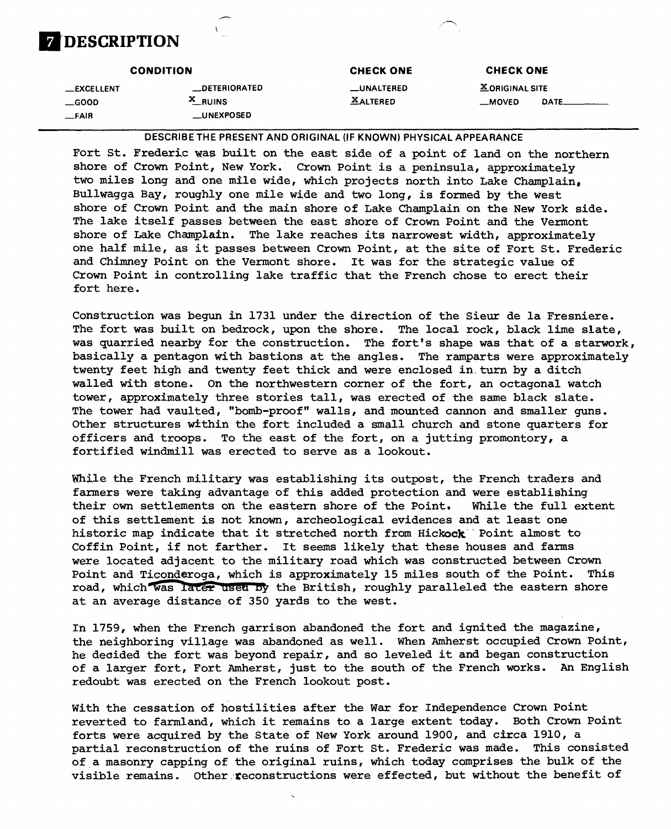

| <b>X ORIGINAL SITE</b><br>__DETERIORATED<br>__UNALTERED<br>__EXCELLENT<br>$X$ RUINS<br><b>XALTERED</b><br>DATE_<br>__MOVED<br>$\equiv$ GOOD<br><b>LUNEXPOSED</b><br>$-FAIR$ |  |
|-----------------------------------------------------------------------------------------------------------------------------------------------------------------------------|--|

**DESCRIBE THE PRESENT AND ORIGINAL ()F KNOWN) PHYSICAL APPEARANCE**

Fort St. Frederic was built on the east side of a point of land on the northern shore of Crown Point, New York. Crown Point is a peninsula, approximately two miles long and one mile wide, which projects north into Lake Champlain, Bullwagga Bay, roughly one mile wide and two long, is formed by the west shore of Crown Point and the main shore of Lake Champlain on the New York side. The lake itself passes between the east shore of Crown Point and the Vermont shore of Lake Champlain. The lake reaches its narrowest width, approximately one half mile, as it passes between Crown Point, at the site of Fort St. Frederic and Chimney Point on the Vermont shore. It was for the strategic value of Crown Point in controlling lake traffic that the French chose to erect their fort here.

Construction was begun in 1731 under the direction of the Sieur de la Fresniere. The fort was built on bedrock, upon the shore. The local rock, black lime slate, was quarried nearby for the construction. The fort's shape was that of a starwork, basically a pentagon with bastions at the angles. The ramparts were approximately twenty feet high and twenty feet thick and were enclosed in turn by a ditch walled with stone. On the northwestern corner of the fort, an octagonal watch tower, approximately three stories tall, was erected of the same black slate. The tower had vaulted, "bomb-proof" walls, and mounted cannon and smaller guns. Other structures within the fort included a small church and stone quarters for officers and troops. To the east of the fort, on a jutting promontory, a fortified windmill was erected to serve as a lookout.

While the French military was establishing its outpost, the French traders and farmers were taking advantage of this added protection and were establishing their own settlements on the eastern shore of the Point, While the full extent of this settlement is not known, archeological evidences and at least one historic map indicate that it stretched north from Hickock Point almost to Coffin Point, if not farther. It seems likely that these houses and farms were located adjacent to the military road which was constructed between Crown Point and Ticonderoga, which is approximately 15 miles south of the Point. This road, which was later used by the British, roughly paralleled the eastern shore at an average distance of 350 yards to the west.

In 1759, when the French garrison abandoned the fort and ignited the magazine, the neighboring village was abandoned as well. When Amherst occupied Crown Point, he decided the fort was beyond repair, and so leveled it and began construction of a larger fort, Fort Amherst, just to the south of the French works. An English redoubt was erected on the French lookout post.

With the cessation of hostilities after the War for Independence Crown Point reverted to farmland, which it remains to a large extent today. Both Crown Point forts were acquired by the State of New York around 1900, and circa 1910, a partial reconstruction of the ruins of Fort St. Frederic was made. This consisted of a masonry capping of the original ruins, which today comprises the bulk of the visible remains. Other reconstructions were effected, but without the benefit of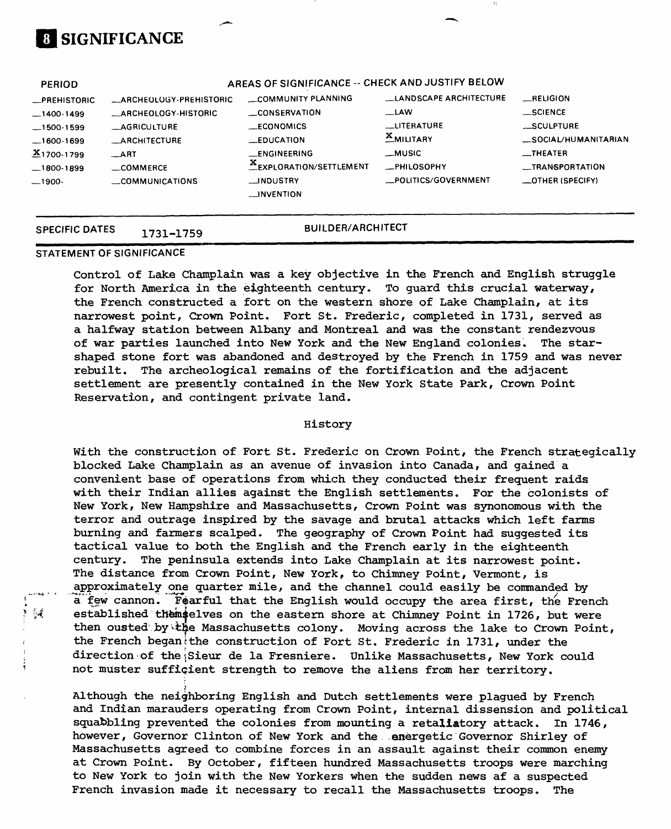|                                                                                                                                                           | __INDUSTRY<br>COMMUNICATIONS<br>__INVENTION                                     |                                                                        | _POLITICS/GOVERNMENT                                            | _OTHER (SPECIFY)                                                                |
|-----------------------------------------------------------------------------------------------------------------------------------------------------------|---------------------------------------------------------------------------------|------------------------------------------------------------------------|-----------------------------------------------------------------|---------------------------------------------------------------------------------|
| —1400-1499<br><b>AGRICULTURE</b><br>$-1500-1599$<br><b>_ARCHITECTURE</b><br>.1600-1699<br>$X_{1700-1799}$<br>$\_$ ART<br>COMMERCE<br>_1800-1899<br>_1900- | _ARCHEOLOGY-HISTORIC<br>_ECONOMICS<br><b>LEDUCATION</b><br><b>__ENGINEERING</b> | <b>__CONSERVATION</b><br>EXPLORATION/SETTLEMENT                        | _LAW<br><b>LUTERATURE</b><br>MILITARY<br>__MUSIC<br>-PHILOSOPHY | __SCIENCE<br>SCULPTURE<br>_SOCIAL/HUMANITARIAN<br>$$ THEATER<br>_TRANSPORTATION |
| <b>PERIOD</b><br><b>_PREHISTORIC</b>                                                                                                                      | _ARCHEOLOGY-PREHISTORIC                                                         | AREAS OF SIGNIFICANCE -- CHECK AND JUSTIFY BELOW<br>COMMUNITY PLANNING | LLANDSCAPE ARCHITECTURE                                         | RELIGION                                                                        |

#### **STATEMENT OF SIGNIFICANCE**

.1  $\frac{d}{d}$ 

**SIGNIFICANCE**

Control of Lake Champlain was a key objective in the French and English struggle for North America in the eighteenth century. To guard this crucial waterway, the French constructed a fort on the western shore of Lake Champlain, at its narrowest point, Crown Point. Fort St. Frederic, completed in 1731, served as a halfway station between Albany and Montreal and was the constant rendezvous of war parties launched into New York and the New England colonies. The starshaped stone fort was abandoned and destroyed by the French in 1759 and was never rebuilt. The archeological remains of the fortification and the adjacent settlement are presently contained in the New York State Park, Crown Point Reservation, and contingent private land.

#### History

With the construction of Fort St. Frederic on Crown Point, the French strategically blocked Lake Champlain as an avenue of invasion into Canada, and gained a convenient base of operations from which they conducted their frequent raids with their Indian allies against the English settlements. For the colonists of New York, New Hampshire and Massachusetts, Crown Point was synonomous with the terror and outrage inspired by the savage and brutal attacks which left farms burning and farmers scalped. The geography of Crown Point had suggested its tactical value to both the English and the French early in the eighteenth century. The peninsula extends into Lake Champlain at its narrowest point. The distance from Crown Point, New York, to Chimney Point, Vermont, is Approximately one quarter mile, and the channel could easily be commanded by a" few cannon. Fearful that the English would occupy the area first, the French established themselves on the eastern shore at Chimney Point in 1726, but were then ousted by the Massachusetts colony. Moving across the lake to Crown Point, the French began<sup>i</sup>the construction of Fort St. Frederic in 1731, under the direction of the Sieur de la Fresniere. Unlike Massachusetts, New York could not muster sufficient strength to remove the aliens from her territory.

Although the neighboring English and Dutch settlements were plagued by French and Indian marauders operating from Crown Point, internal dissension and political squabbling prevented the colonies from mounting a retaliatory attack. In 1746, however, Governor Clinton of New York and the energetic Governor Shirley of Massachusetts agreed to combine forces in an assault against their common enemy at Crown Point. By October, fifteen hundred Massachusetts troops were marching to New York to join with the New Yorkers when the sudden news af a suspected French invasion made it necessary to recall the Massachusetts troops. The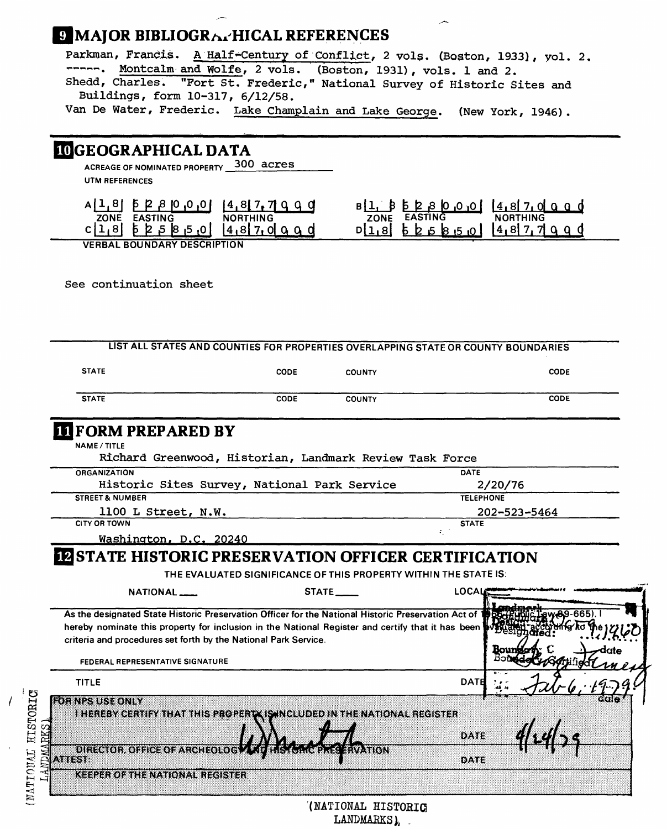## **9 MAJOR BIBLIOGRAPHICAL REFERENCES**

Parkman, Francis. A Half-Century of Conflict, 2 vols. (Boston, 1933), vol. 2. -----. Montcalm and Wolfe, 2 vols. (Boston, 1931), vols. 1 and 2. Shedd, Charles. "Fort St. Frederic," National Survey of Historic Sites and Buildings, form 10-317, 6/12/58. Van De Water, Frederic. Lake Champlain and Lake George. (New York, 1946).

### UGEOGRAPHICAL DATA

ACREAGE OF NOMINATED PROPERTY 300 acres UTM REFERENCES

| AIT OI P K O<br>ו טויטו        | (4, 8, 7, 7)    | ' 0 <sub>'</sub> 0, 0 <br>. KO | 14.817.01    |
|--------------------------------|-----------------|--------------------------------|--------------|
| <b>ZONE</b><br><b>EASTING</b>  | <b>NORTHING</b> | <b>EASTING</b><br>ZONE         | NORTH        |
| רו שו<br>K<br>ມ<br>. .         |                 | k 5<br>-10 I                   | 14, 817, 719 |
| VFSB11 B01111B1D11 C0001D71011 |                 |                                |              |

**VERBAL BOUNDARY DESCRIPTION**

See continuation sheet

 $\Xi$  $\tilde{H}$ 

| <b>STATE</b>                                                                                                                                                                                               | <b>CODE</b> | <b>COUNTY</b> |                                                                  | CODE         |
|------------------------------------------------------------------------------------------------------------------------------------------------------------------------------------------------------------|-------------|---------------|------------------------------------------------------------------|--------------|
| <b>STATE</b>                                                                                                                                                                                               | <b>CODE</b> | <b>COUNTY</b> |                                                                  | CODE         |
| <b>IL FORM PREPARED BY</b>                                                                                                                                                                                 |             |               |                                                                  |              |
| <b>NAME / TITLE</b>                                                                                                                                                                                        |             |               |                                                                  |              |
| Richard Greenwood, Historian, Landmark Review Task Force                                                                                                                                                   |             |               |                                                                  |              |
| <b>ORGANIZATION</b>                                                                                                                                                                                        |             |               | DATE                                                             |              |
| Historic Sites Survey, National Park Service                                                                                                                                                               |             |               | 2/20/76                                                          |              |
| <b>STREET &amp; NUMBER</b>                                                                                                                                                                                 |             |               | <b>TELEPHONE</b>                                                 |              |
| 1100 L Street, N.W.                                                                                                                                                                                        |             |               |                                                                  | 202-523-5464 |
| <b>CITY OR TOWN</b>                                                                                                                                                                                        |             |               | <b>STATE</b>                                                     |              |
| Washington, D.C. 20240                                                                                                                                                                                     |             |               | $\mathcal{I}_1$ .                                                |              |
|                                                                                                                                                                                                            |             |               | THE EVALUATED SIGNIFICANCE OF THIS PROPERTY WITHIN THE STATE IS: |              |
| NATIONAL <sub>-</sub>                                                                                                                                                                                      |             | STATE___      | LOCAL                                                            |              |
| As the designated State Historic Preservation Officer for the National Historic Preservation Act of 1<br>hereby nominate this property for inclusion in the National Register and certify that it has been |             |               |                                                                  | w89-665)     |
| criteria and procedures set forth by the National Park Service.<br>FEDERAL REPRESENTATIVE SIGNATURE                                                                                                        |             |               |                                                                  |              |
| <b>TITLE</b>                                                                                                                                                                                               |             |               | <b>DATE</b>                                                      |              |
| <b>ROTURNS USBOON W</b><br>I HEREBY CERTIFY THAT THIS PROPERTY IS INCLUDED IN THE NATIONAL REGISTER                                                                                                        |             |               | DATE                                                             |              |

'(NATIONAL HISTORIC LANDMARKS),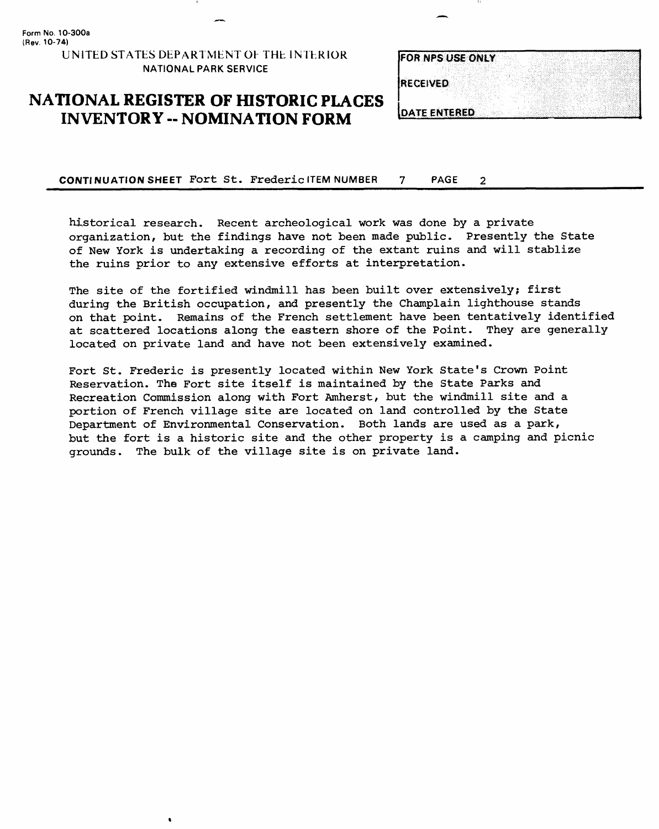**Form No. 10-300a (Rev. 10-74) UNITED STATES DEPARTMENT OF THE INTERIOR NATIONAL PARK SERVICE**

 $\bullet$ 

### **NATIONAL REGISTER OF HISTORIC PLACES INVENTORY -- NOMINATION FORM**

|                  | FOR NPS USE ONLY    |  |  |  |
|------------------|---------------------|--|--|--|
|                  |                     |  |  |  |
| <b>IRECEIVED</b> |                     |  |  |  |
|                  |                     |  |  |  |
|                  |                     |  |  |  |
|                  | <b>DATE ENTERED</b> |  |  |  |

**CONTINUATION SHEET** Fort St. Frederic ITEM NUMBER 7 PAGE  $\overline{2}$ 

historical research. Recent archeological work was done by a private organization, but the findings have not been made public. Presently the State of New York is undertaking a recording of the extant ruins and will stablize the ruins prior to any extensive efforts at interpretation.

The site of the fortified windmill has been built over extensively; first during the British occupation, and presently the Champlain lighthouse stands on that point. Remains of the French settlement have been tentatively identified at scattered locations along the eastern shore of the Point. They are generally located on private land and have not been extensively examined.

Fort St. Frederic is presently located within New York State's Crown Point Reservation. The Fort site itself is maintained by the State Parks and Recreation Commission along with Fort Amherst, but the windmill site and a portion of French village site are located on land controlled by the State Department of Environmental Conservation. Both lands are used as a park, but the fort is a historic site and the other property is a camping and picnic grounds. The bulk of the village site is on private land.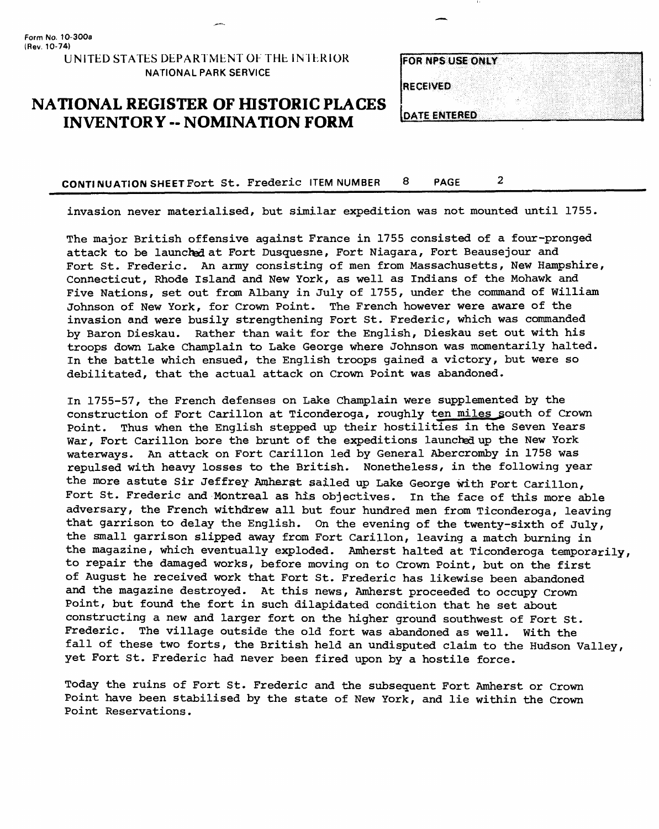**(Rev. 10-74)** UNITED STATES DEPARTMENT OF THE INTERIOR NATIONAL PARK SERVICE

**Form No. 10-300a** 

### **NATIONAL REGISTER OF HISTORIC PLACES INVENTORY -- NOMINATION FORM**

|                  | <b>FOR NPS USE ONLY</b> |  |  |  |  |  |
|------------------|-------------------------|--|--|--|--|--|
|                  |                         |  |  |  |  |  |
|                  |                         |  |  |  |  |  |
| <b>IRECEIVED</b> |                         |  |  |  |  |  |
|                  |                         |  |  |  |  |  |
|                  |                         |  |  |  |  |  |
|                  | <b>DATE ENTERED</b>     |  |  |  |  |  |

CONTINUATION SHEET Fort St. Frederic ITEM NUMBER 8 PAGE 2

invasion never materialised, but similar expedition was not mounted until 1755.

The major British offensive against France in 1755 consisted of a four-pronged attack to be launched at Fort Dusquesne, Fort Niagara, Fort Beausejour and Fort St. Frederic. An army consisting of men from Massachusetts, New Hampshire, Connecticut, Rhode Island and New York, as well as Indians of the Mohawk and Five Nations, set out from Albany in July of 1755, under the command of William Johnson of New York, for Crown Point. The French however were aware of the invasion and were busily strengthening Fort St. Frederic, which was commanded by Baron Dieskau. Rather than wait for the English, Dieskau set out with his troops down Lake Champlain to Lake George where Johnson was momentarily halted. In the battle which ensued, the English troops gained a victory, but were so debilitated, that the actual attack on Crown Point was abandoned.

In 1755-57, the French defenses on Lake Champlain were supplemented by the construction of Fort Carillon at Ticonderoga, roughly ten miles south of Crown Point. Thus when the English stepped up their hostilities in the Seven Years War, Fort Carillon bore the brunt of the expeditions launched up the New York waterways. An attack on Fort Carillon led by General Abercromby in 1758 was repulsed with heavy losses to the British. Nonetheless, in the following year the more astute Sir Jeffrey Amherst sailed up Lake George with Fort Carillon, Fort St. Frederic and Montreal as his objectives. In the face of this more able adversary, the French withdrew all but four hundred men from Ticonderoga, leaving that garrison to delay the English. On the evening of the twenty-sixth of July, the small garrison slipped away from Fort Carillon, leaving a match burning in the magazine, which eventually exploded. Amherst halted at Ticonderoga temporarily, to repair the damaged works, before moving on to Crown Point, but on the first of August he received work that Fort St. Frederic has likewise been abandoned and the magazine destroyed. At this news, Amherst proceeded to occupy Crown Point, but found the fort in such dilapidated condition that he set about constructing a new and larger fort on the higher ground southwest of Fort St. Frederic. The village outside the old fort was abandoned as well. With the fall of these two forts, the British held an undisputed claim to the Hudson Valley, yet Fort St. Frederic had never been fired upon by a hostile force.

Today the ruins of Fort St. Frederic and the subsequent Fort Amherst or Crown Point have been stabilised by the state of New York, and lie within the Crown Point Reservations.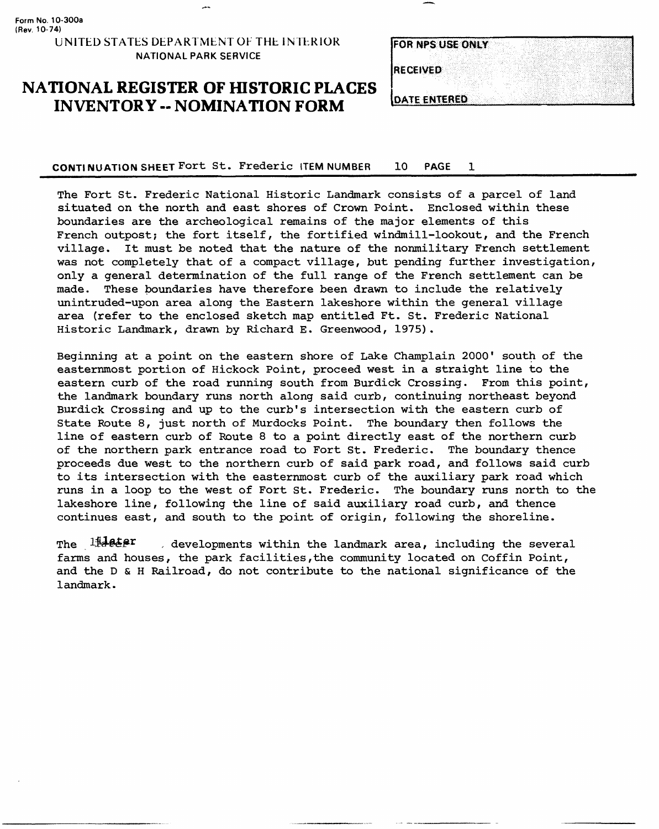**Form No. 10-300a (Rev. 10-74)**

#### UNITED STATES DEPARTMENT OF THE INTERIOR NATIONAL PARK SERVICE

# **NATIONAL REGISTER OF HISTORIC PLACES INVENTORY -- NOMINATION FORM**

| <b>FOR NPS USE ONLY</b> |  |  |  |
|-------------------------|--|--|--|
|                         |  |  |  |
| <b>RECEIVED</b>         |  |  |  |
|                         |  |  |  |
|                         |  |  |  |
| <b>DATE ENTERED</b>     |  |  |  |

**CONTINUATION SHEET Fort** St. Frederic ITEM NUMBER 10 PAGE 1 \_\_\_\_\_\_\_\_\_\_\_\_\_\_\_\_

The Fort St. Frederic National Historic Landmark consists of a parcel of land situated on the north and east shores of Crown Point. Enclosed within these boundaries are the archeological remains of the major elements of this French outpost; the fort itself, the fortified windmill-lookout, and the French village. It must be noted that the nature of the nonmilitary French settlement was not completely that of a compact village, but pending further investigation, only a general determination of the full range of the French settlement can be made. These boundaries have therefore been drawn to include the relatively unintruded-upon area along the Eastern lakeshore within the general village area (refer to the enclosed sketch map entitled Ft. St. Frederic National Historic Landmark, drawn by Richard E. Greenwood, 1975) .

Beginning at a point on the eastern shore of Lake Champlain 2000' south of the easternmost portion of Hickock Point, proceed west in a straight line to the eastern curb of the road running south from Burdick Crossing. From this point, the landmark boundary runs north along said curb, continuing northeast beyond Burdick Crossing and up to the curb's intersection with the eastern curb of State Route 8, just north of Murdocks Point. The boundary then follows the line of eastern curb of Route 8 to a point directly east of the northern curb of the northern park entrance road to Fort St. Frederic. The boundary thence proceeds due west to the northern curb of said park road, and follows said curb to its intersection with the easternmost curb of the auxiliary park road which runs in a loop to the west of Fort St. Frederic. The boundary runs north to the lakeshore line, following the line of said auxiliary road curb, and thence continues east, and south to the point of origin, following the shoreline.

The  $1\frac{1}{4}$ **e** $\epsilon$ <sup>p</sup> , developments within the landmark area, including the several farms and houses, the park facilities, the community located on Coffin Point, and the D & H Railroad, do not contribute to the national significance of the landmark.